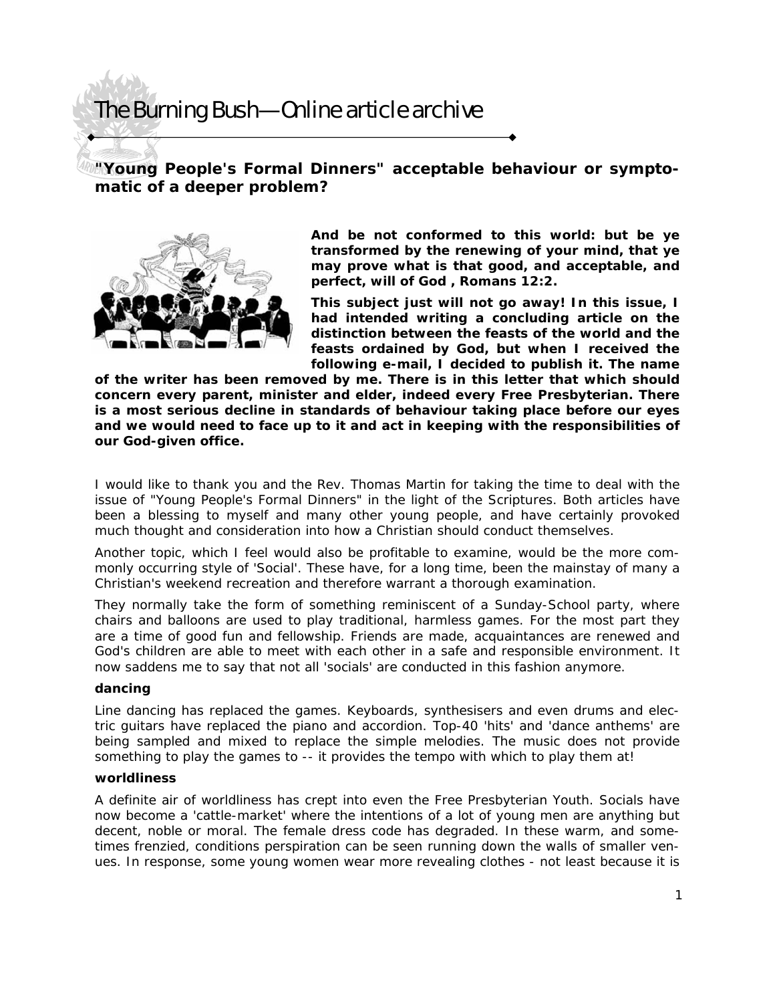## The Burning Bush—Online article archive

**"Young People's Formal Dinners" acceptable behaviour or symptomatic of a deeper problem?** 



*And be not conformed to this world: but be ye transformed by the renewing of your mind, that ye may prove what is that good, and acceptable, and perfect, will of God* **, Romans 12:2.** 

**This subject just will not go away! In this issue, I had intended writing a concluding article on the distinction between the feasts of the world and the feasts ordained by God, but when I received the following e-mail, I decided to publish it. The name** 

**of the writer has been removed by me. There is in this letter that which should concern every parent, minister and elder, indeed every Free Presbyterian. There is a most serious decline in standards of behaviour taking place before our eyes and we would need to face up to it and act in keeping with the responsibilities of our God-given office.** 

I would like to thank you and the Rev. Thomas Martin for taking the time to deal with the issue of "Young People's Formal Dinners" in the light of the Scriptures. Both articles have been a blessing to myself and many other young people, and have certainly provoked much thought and consideration into how a Christian should conduct themselves.

Another topic, which I feel would also be profitable to examine, would be the more commonly occurring style of 'Social'. These have, for a long time, been the mainstay of many a Christian's weekend recreation and therefore warrant a thorough examination.

They normally take the form of something reminiscent of a Sunday-School party, where chairs and balloons are used to play traditional, harmless games. For the most part they are a time of good fun and fellowship. Friends are made, acquaintances are renewed and God's children are able to meet with each other in a safe and responsible environment. It now saddens me to say that not all 'socials' are conducted in this fashion anymore.

## **dancing**

Line dancing has replaced the games. Keyboards, synthesisers and even drums and electric guitars have replaced the piano and accordion. Top-40 'hits' and 'dance anthems' are being sampled and mixed to replace the simple melodies. The music does not provide something to play the games to -- it provides the tempo with which to play them at!

## **worldliness**

A definite air of worldliness has crept into even the Free Presbyterian Youth. Socials have now become a 'cattle-market' where the intentions of a lot of young men are anything but decent, noble or moral. The female dress code has degraded. In these warm, and sometimes frenzied, conditions perspiration can be seen running down the walls of smaller venues. In response, some young women wear more revealing clothes - not least because it is